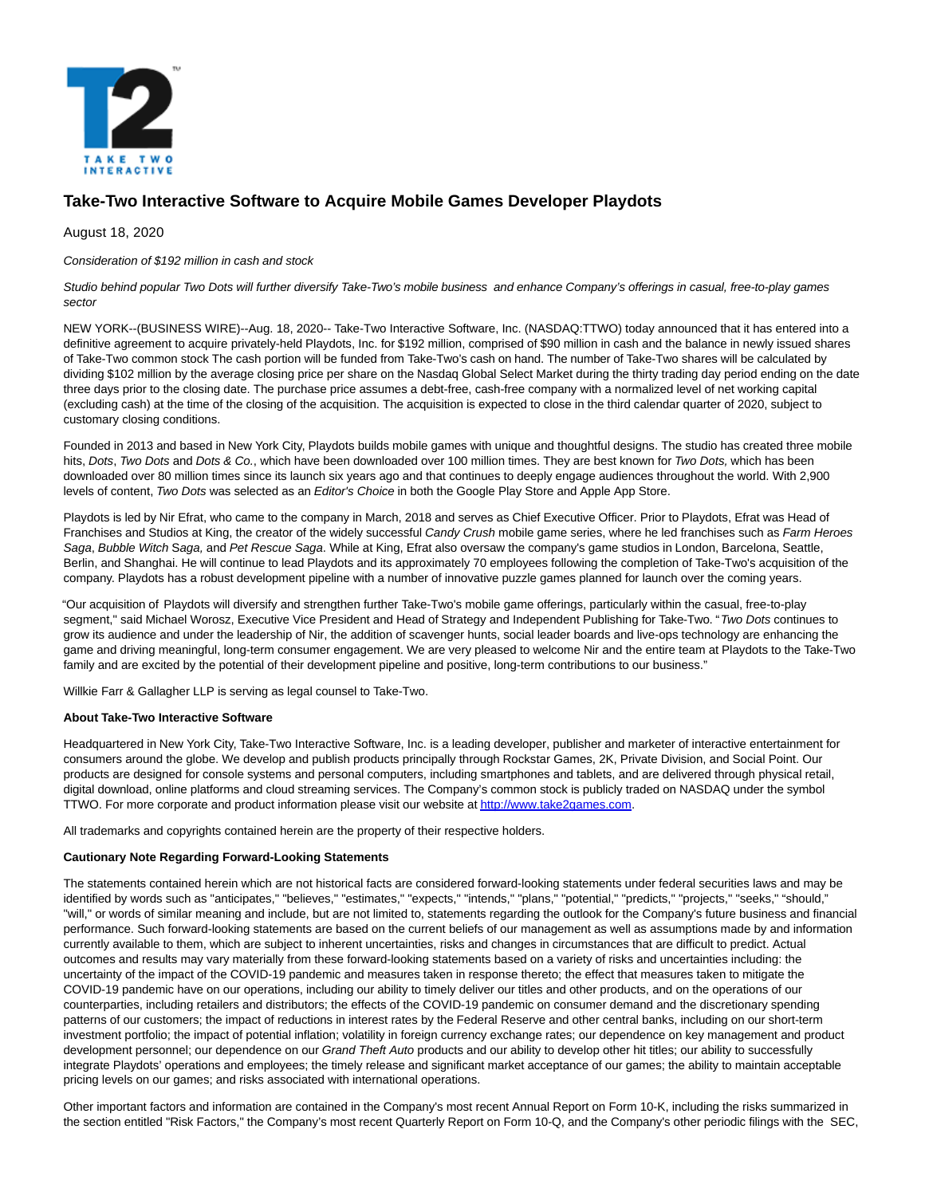

## **Take-Two Interactive Software to Acquire Mobile Games Developer Playdots**

August 18, 2020

Consideration of \$192 million in cash and stock

Studio behind popular Two Dots will further diversify Take-Two's mobile business and enhance Company's offerings in casual, free-to-play games sector

NEW YORK--(BUSINESS WIRE)--Aug. 18, 2020-- Take-Two Interactive Software, Inc. (NASDAQ:TTWO) today announced that it has entered into a definitive agreement to acquire privately-held Playdots, Inc. for \$192 million, comprised of \$90 million in cash and the balance in newly issued shares of Take-Two common stock The cash portion will be funded from Take-Two's cash on hand. The number of Take-Two shares will be calculated by dividing \$102 million by the average closing price per share on the Nasdaq Global Select Market during the thirty trading day period ending on the date three days prior to the closing date. The purchase price assumes a debt-free, cash-free company with a normalized level of net working capital (excluding cash) at the time of the closing of the acquisition. The acquisition is expected to close in the third calendar quarter of 2020, subject to customary closing conditions.

Founded in 2013 and based in New York City, Playdots builds mobile games with unique and thoughtful designs. The studio has created three mobile hits, Dots, Two Dots and Dots & Co., which have been downloaded over 100 million times. They are best known for Two Dots, which has been downloaded over 80 million times since its launch six years ago and that continues to deeply engage audiences throughout the world. With 2,900 levels of content, Two Dots was selected as an Editor's Choice in both the Google Play Store and Apple App Store.

Playdots is led by Nir Efrat, who came to the company in March, 2018 and serves as Chief Executive Officer. Prior to Playdots, Efrat was Head of Franchises and Studios at King, the creator of the widely successful Candy Crush mobile game series, where he led franchises such as Farm Heroes Saga, Bubble Witch Saga, and Pet Rescue Saga. While at King, Efrat also oversaw the company's game studios in London, Barcelona, Seattle, Berlin, and Shanghai. He will continue to lead Playdots and its approximately 70 employees following the completion of Take-Two's acquisition of the company. Playdots has a robust development pipeline with a number of innovative puzzle games planned for launch over the coming years.

"Our acquisition of Playdots will diversify and strengthen further Take-Two's mobile game offerings, particularly within the casual, free-to-play segment," said Michael Worosz, Executive Vice President and Head of Strategy and Independent Publishing for Take-Two. "Two Dots continues to grow its audience and under the leadership of Nir, the addition of scavenger hunts, social leader boards and live-ops technology are enhancing the game and driving meaningful, long-term consumer engagement. We are very pleased to welcome Nir and the entire team at Playdots to the Take-Two family and are excited by the potential of their development pipeline and positive, long-term contributions to our business."

Willkie Farr & Gallagher LLP is serving as legal counsel to Take-Two.

## **About Take-Two Interactive Software**

Headquartered in New York City, Take-Two Interactive Software, Inc. is a leading developer, publisher and marketer of interactive entertainment for consumers around the globe. We develop and publish products principally through Rockstar Games, 2K, Private Division, and Social Point. Our products are designed for console systems and personal computers, including smartphones and tablets, and are delivered through physical retail, digital download, online platforms and cloud streaming services. The Company's common stock is publicly traded on NASDAQ under the symbol TTWO. For more corporate and product information please visit our website a[t http://www.take2games.com.](https://cts.businesswire.com/ct/CT?id=smartlink&url=http%3A%2F%2Fwww.take2games.com&esheet=52268401&newsitemid=20200818005293&lan=en-US&anchor=http%3A%2F%2Fwww.take2games.com&index=1&md5=2fcfd2a37743ad5a7868db96f4bcdcf3)

All trademarks and copyrights contained herein are the property of their respective holders.

## **Cautionary Note Regarding Forward-Looking Statements**

The statements contained herein which are not historical facts are considered forward-looking statements under federal securities laws and may be identified by words such as "anticipates," "believes," "estimates," "expects," "intends," "plans," "potential," "predicts," "projects," "seeks," "should," "will," or words of similar meaning and include, but are not limited to, statements regarding the outlook for the Company's future business and financial performance. Such forward-looking statements are based on the current beliefs of our management as well as assumptions made by and information currently available to them, which are subject to inherent uncertainties, risks and changes in circumstances that are difficult to predict. Actual outcomes and results may vary materially from these forward-looking statements based on a variety of risks and uncertainties including: the uncertainty of the impact of the COVID-19 pandemic and measures taken in response thereto; the effect that measures taken to mitigate the COVID-19 pandemic have on our operations, including our ability to timely deliver our titles and other products, and on the operations of our counterparties, including retailers and distributors; the effects of the COVID-19 pandemic on consumer demand and the discretionary spending patterns of our customers; the impact of reductions in interest rates by the Federal Reserve and other central banks, including on our short-term investment portfolio; the impact of potential inflation; volatility in foreign currency exchange rates; our dependence on key management and product development personnel; our dependence on our Grand Theft Auto products and our ability to develop other hit titles; our ability to successfully integrate Playdots' operations and employees; the timely release and significant market acceptance of our games; the ability to maintain acceptable pricing levels on our games; and risks associated with international operations.

Other important factors and information are contained in the Company's most recent Annual Report on Form 10-K, including the risks summarized in the section entitled "Risk Factors," the Company's most recent Quarterly Report on Form 10-Q, and the Company's other periodic filings with the SEC,